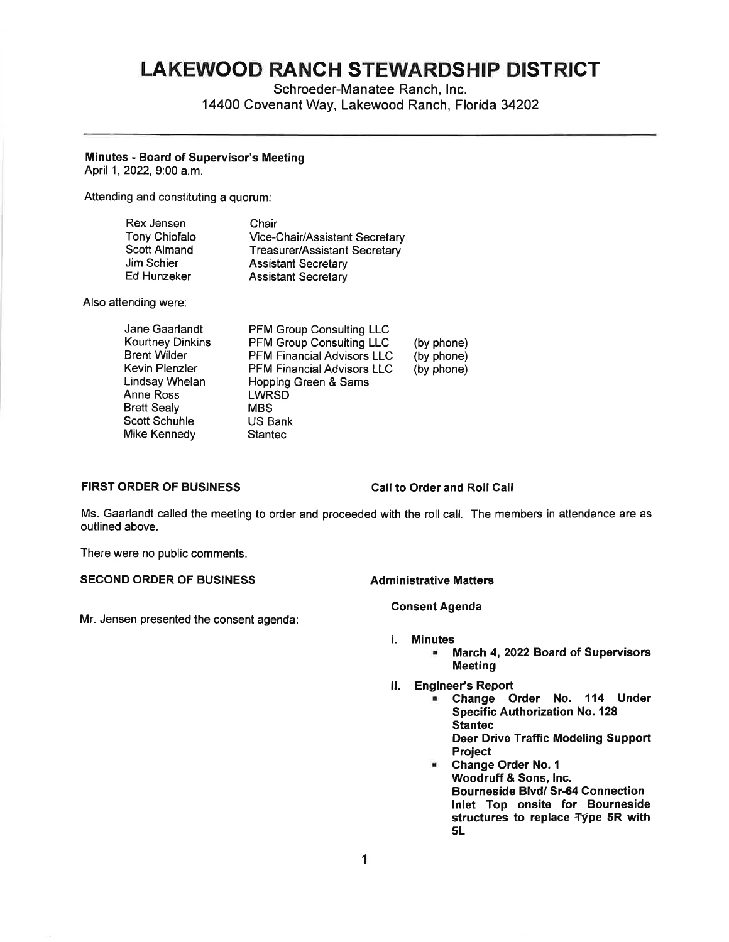# **LAKEWOOD RANCH STEWARDSHIP DISTRICT**

Schroeder-Manatee Ranch, Inc. 14400 Covenant Way, Lakewood Ranch, Florida 34202

### **Minutes** - **Board of Supervisor's Meeting**

April 1, 2022, 9:00 a.m.

Attending and constituting a quorum:

| Rex Jensen           | Chair                                |
|----------------------|--------------------------------------|
| <b>Tony Chiofalo</b> | Vice-Chair/Assistant Secretary       |
| <b>Scott Almand</b>  | <b>Treasurer/Assistant Secretary</b> |
| Jim Schier           | <b>Assistant Secretary</b>           |
| Ed Hunzeker          | <b>Assistant Secretary</b>           |

Also attending were:

| Jane Gaarlandt          | PFM Group Consulting LLC          |            |
|-------------------------|-----------------------------------|------------|
| <b>Kourtney Dinkins</b> | <b>PFM Group Consulting LLC</b>   | (by phone) |
| <b>Brent Wilder</b>     | <b>PFM Financial Advisors LLC</b> | (by phone) |
| Kevin Plenzler          | <b>PFM Financial Advisors LLC</b> | (by phone) |
| Lindsay Whelan          | Hopping Green & Sams              |            |
| Anne Ross               | <b>LWRSD</b>                      |            |
| Brett Sealy             | <b>MBS</b>                        |            |
| Scott Schuhle           | US Bank                           |            |
| Mike Kennedy            | <b>Stantec</b>                    |            |
|                         |                                   |            |

### **FIRST ORDER OF BUSINESS Call to Order and Roll Call**

Ms. Gaarlandt called the meeting to order and proceeded with the roll call. The members in attendance are as outlined above.

There were no public comments.

## **SECOND ORDER OF BUSINESS Administrative Matters**

Mr. Jensen presented the consent agenda:

#### **Consent Agenda**

- i. **Minutes** 
	- **March 4, 2022 Board of Supervisors Meeting**
- ii. **Engineer's Report** 
	- **Change Order No. 114 Under Specific Authorization No. 128 Stantec Deer Drive Traffic Modeling Support Project**
	- **Change Order No. 1 Woodruff** & **Sons, Inc. Bourneside Blvd/ Sr-64 Connection Inlet Top onsite for Bourneside**  structures to replace Type 5R with **SL**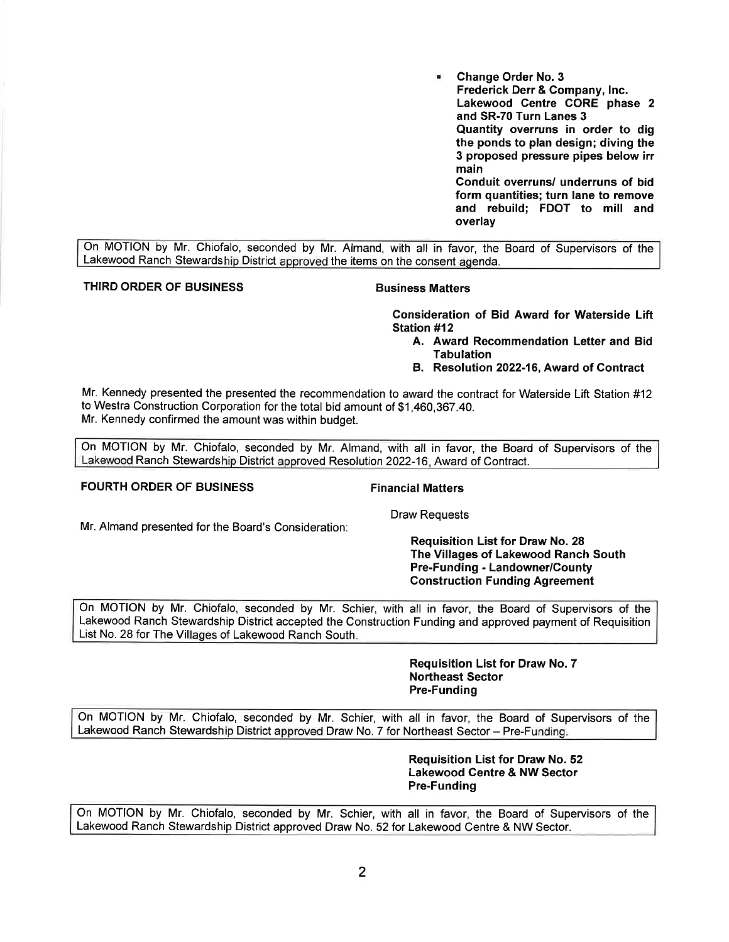• **Change Order No. 3 Frederick Derr** & **Company, Inc. Lakewood Centre CORE phase 2 and SR-70 Turn Lanes 3 Quantity overruns in order to dig the ponds to plan design; diving the 3 proposed pressure pipes below irr main Conduit overruns/ underruns of bid form quantities; turn lane to remove and rebuild; FDOT to mill and overlay** 

On MOTION by Mr. Chiofalo, seconded by Mr. Almand, with all in favor, the Board of Supervisors of the Lakewood Ranch Stewardship District approved the items on the consent agenda.

### **THIRD ORDER OF BUSINESS CONSUMING BUSINESS Matters**

**Consideration of Bid Award for Waterside Lift Station #12** 

- **A. Award Recommendation Letter and Bid Tabulation**
- **B. Resolution 2022-16, Award of Contract**

Mr. Kennedy presented the presented the recommendation to award the contract for Waterside Lift Station #12 to Westra Construction Corporation for the total bid amount of \$[1,460,367.40](https://1,460,367.40). Mr. Kennedy confirmed the amount was within budget.

On MOTION by Mr. Chiofalo, seconded by Mr. Almand, with all in favor, the Board of Supervisors of the Lakewood Ranch Stewardship District approved Resolution 2022-16, Award of Contract.

#### **FOURTH ORDER OF BUSINESS FINANCIAL FINANCIAL Matters**

Mr. Almand presented for the Board's Consideration:

Draw Requests

**Requisition List for Draw No. 28 The Villages of Lakewood Ranch South Pre-Funding** - **Landowner/County Construction Funding Agreement** 

On MOTION by Mr. Chiofalo, seconded by Mr. Schier, with all in favor, the Board of Supervisors of the Lakewood Ranch Stewardship District accepted the Construction Funding and approved payment of Requisition List No. 28 for The Villages of Lakewood Ranch South.

> **Requisition List for Draw No. 7 Northeast Sector Pre-Funding**

On MOTION by Mr. Chiofalo, seconded by Mr. Schier, with all in favor, the Board of Supervisors of the Lakewood Ranch Stewardship District approved Draw No. 7 for Northeast Sector- Pre-Funding.

> **Requisition List for Draw No. 52 Lakewood Centre** & **NW Sector Pre-Funding**

On MOTION by Mr. Chiofalo, seconded by Mr. Schier, with all in favor, the Board of Supervisors of the Lakewood Ranch Stewardship District approved Draw No. 52 for Lakewood Centre & NW Sector.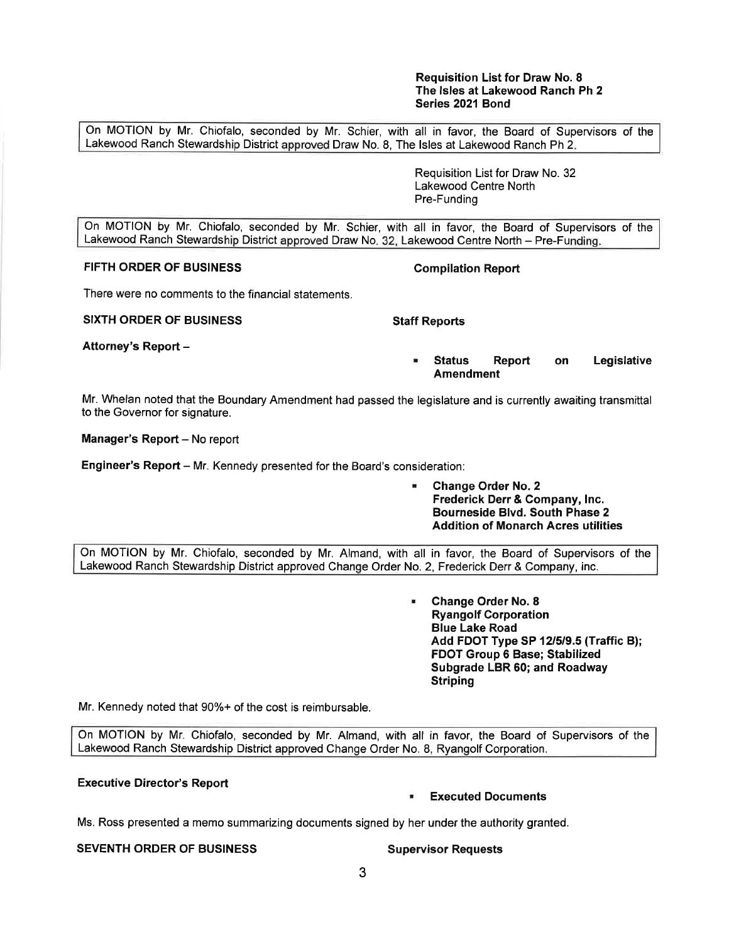#### **Requisition List for Draw No. 8 The Isles at Lakewood Ranch Ph 2 Series 2021 Bond**

On MOTION by Mr. Chiofalo, seconded by Mr. Schier, with all in favor, the Board of Supervisors of the Lakewood Ranch Stewardship District approved Draw No. 8, The Isles at Lakewood Ranch Ph 2.

> Requisition List for Draw No. 32 Lakewood Centre North Pre-Funding

On MOTION by Mr. Chiofalo, seconded by Mr. Schier, with all in favor, the Board of Supervisors of the Lakewood Ranch Stewardship District approved Draw No. 32, Lakewood Centre North - Pre-Funding.

# **FIFTH ORDER OF BUSINESS Compilation Report**

There were no comments to the financial statements.

**SIXTH ORDER OF BUSINESS STATES STATES STATES STATES STATES STATES STATES STATES STATES STATES STATES STATES STATES STATES STATES STATES STATES STATES STATES STATES STATES STATES STATES STATES STATES STATES STATES STATES S** 

**Attorney's Report** -

• **Status Report on Legislative Amendment** 

Mr. Whelan noted that the Boundary Amendment had passed the legislature and is currently awaiting transmittal to the Governor for signature.

**Manager's Report - No report** 

**Engineer's Report** – Mr. Kennedy presented for the Board's consideration:

• **Change Order No. 2 Frederick Derr** & **Company, Inc. Bourneside Blvd. South Phase 2 Addition of Monarch Acres utilities** 

On MOTION by Mr. Chiofalo, seconded by Mr. Almand, with all in favor, the Board of Supervisors of the Lakewood Ranch Stewardship District approved Change Order No. 2, Frederick Derr & Company, inc.

> • **Change Order No. 8 Ryangolf Corporation Blue Lake Road Add FOOT Type SP 12/5/9.5 (Traffic B); FOOT Group 6 Base; Stabilized Subgrade LBR 60; and Roadway Striping**

Mr. Kennedy noted that 90%+ of the cost is reimbursable.

On MOTION by Mr. Chiofalo, seconded by Mr. Almand, with all in favor, the Board of Supervisors of the Lakewood Ranch Stewardship District approved Change Order No. 8, Ryangolf Corporation.

### **Executive Director's Report**

### • **Executed Documents**

Ms. Ross presented a memo summarizing documents signed by her under the authority granted.

# **SEVENTH ORDER OF BUSINESS SUPERISTS Supervisor Requests**